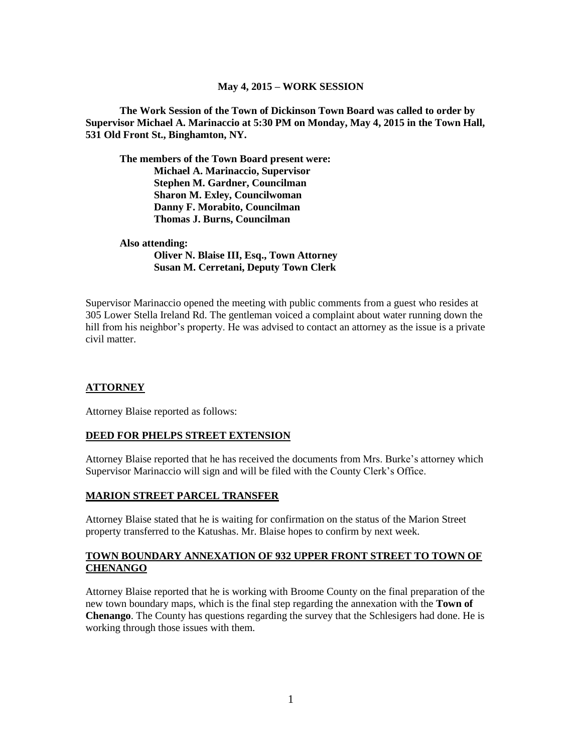#### **May 4, 2015 – WORK SESSION**

**The Work Session of the Town of Dickinson Town Board was called to order by Supervisor Michael A. Marinaccio at 5:30 PM on Monday, May 4, 2015 in the Town Hall, 531 Old Front St., Binghamton, NY.**

**The members of the Town Board present were: Michael A. Marinaccio, Supervisor Stephen M. Gardner, Councilman Sharon M. Exley, Councilwoman Danny F. Morabito, Councilman Thomas J. Burns, Councilman**

**Also attending: Oliver N. Blaise III, Esq., Town Attorney Susan M. Cerretani, Deputy Town Clerk**

Supervisor Marinaccio opened the meeting with public comments from a guest who resides at 305 Lower Stella Ireland Rd. The gentleman voiced a complaint about water running down the hill from his neighbor's property. He was advised to contact an attorney as the issue is a private civil matter.

#### **ATTORNEY**

Attorney Blaise reported as follows:

#### **DEED FOR PHELPS STREET EXTENSION**

Attorney Blaise reported that he has received the documents from Mrs. Burke's attorney which Supervisor Marinaccio will sign and will be filed with the County Clerk's Office.

#### **MARION STREET PARCEL TRANSFER**

Attorney Blaise stated that he is waiting for confirmation on the status of the Marion Street property transferred to the Katushas. Mr. Blaise hopes to confirm by next week.

#### **TOWN BOUNDARY ANNEXATION OF 932 UPPER FRONT STREET TO TOWN OF CHENANGO**

Attorney Blaise reported that he is working with Broome County on the final preparation of the new town boundary maps, which is the final step regarding the annexation with the **Town of Chenango**. The County has questions regarding the survey that the Schlesigers had done. He is working through those issues with them.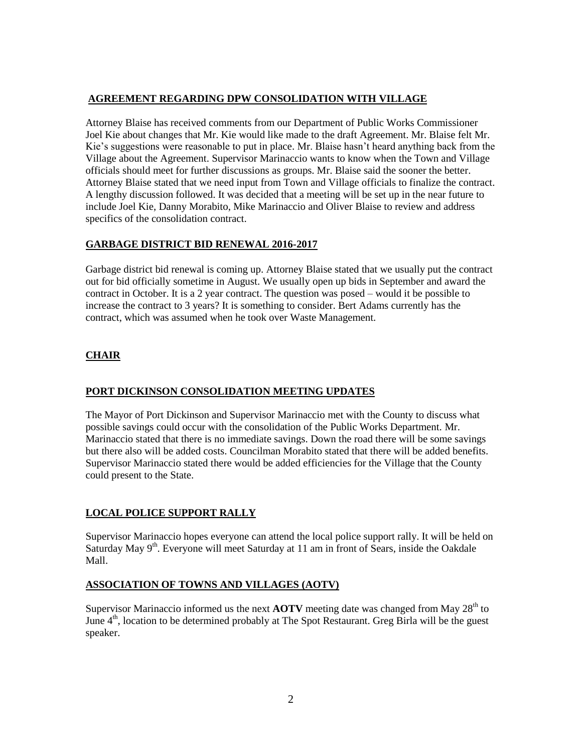## **AGREEMENT REGARDING DPW CONSOLIDATION WITH VILLAGE**

Attorney Blaise has received comments from our Department of Public Works Commissioner Joel Kie about changes that Mr. Kie would like made to the draft Agreement. Mr. Blaise felt Mr. Kie's suggestions were reasonable to put in place. Mr. Blaise hasn't heard anything back from the Village about the Agreement. Supervisor Marinaccio wants to know when the Town and Village officials should meet for further discussions as groups. Mr. Blaise said the sooner the better. Attorney Blaise stated that we need input from Town and Village officials to finalize the contract. A lengthy discussion followed. It was decided that a meeting will be set up in the near future to include Joel Kie, Danny Morabito, Mike Marinaccio and Oliver Blaise to review and address specifics of the consolidation contract.

### **GARBAGE DISTRICT BID RENEWAL 2016-2017**

Garbage district bid renewal is coming up. Attorney Blaise stated that we usually put the contract out for bid officially sometime in August. We usually open up bids in September and award the contract in October. It is a 2 year contract. The question was posed – would it be possible to increase the contract to 3 years? It is something to consider. Bert Adams currently has the contract, which was assumed when he took over Waste Management.

# **CHAIR**

#### **PORT DICKINSON CONSOLIDATION MEETING UPDATES**

The Mayor of Port Dickinson and Supervisor Marinaccio met with the County to discuss what possible savings could occur with the consolidation of the Public Works Department. Mr. Marinaccio stated that there is no immediate savings. Down the road there will be some savings but there also will be added costs. Councilman Morabito stated that there will be added benefits. Supervisor Marinaccio stated there would be added efficiencies for the Village that the County could present to the State.

## **LOCAL POLICE SUPPORT RALLY**

Supervisor Marinaccio hopes everyone can attend the local police support rally. It will be held on Saturday May 9<sup>th</sup>. Everyone will meet Saturday at 11 am in front of Sears, inside the Oakdale Mall.

## **ASSOCIATION OF TOWNS AND VILLAGES (AOTV)**

Supervisor Marinaccio informed us the next  $\angle AOTV$  meeting date was changed from May 28<sup>th</sup> to June 4<sup>th</sup>, location to be determined probably at The Spot Restaurant. Greg Birla will be the guest speaker.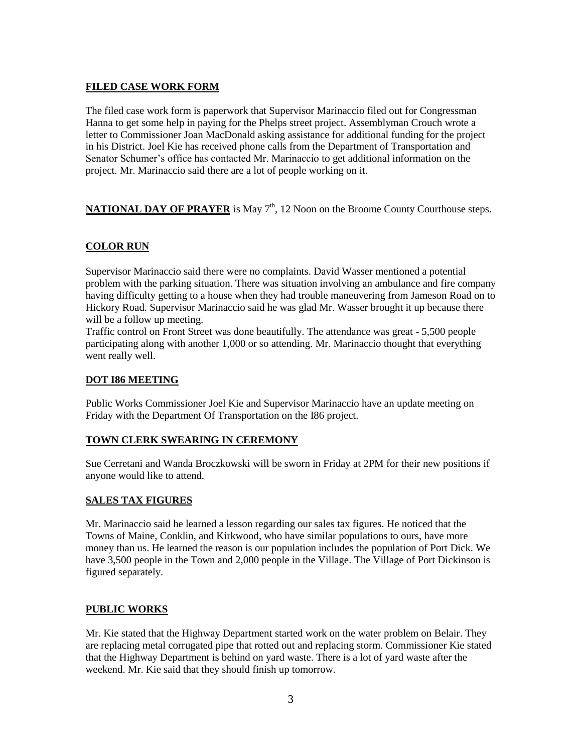# **FILED CASE WORK FORM**

The filed case work form is paperwork that Supervisor Marinaccio filed out for Congressman Hanna to get some help in paying for the Phelps street project. Assemblyman Crouch wrote a letter to Commissioner Joan MacDonald asking assistance for additional funding for the project in his District. Joel Kie has received phone calls from the Department of Transportation and Senator Schumer's office has contacted Mr. Marinaccio to get additional information on the project. Mr. Marinaccio said there are a lot of people working on it.

**NATIONAL DAY OF PRAYER** is May 7<sup>th</sup>, 12 Noon on the Broome County Courthouse steps.

# **COLOR RUN**

Supervisor Marinaccio said there were no complaints. David Wasser mentioned a potential problem with the parking situation. There was situation involving an ambulance and fire company having difficulty getting to a house when they had trouble maneuvering from Jameson Road on to Hickory Road. Supervisor Marinaccio said he was glad Mr. Wasser brought it up because there will be a follow up meeting.

Traffic control on Front Street was done beautifully. The attendance was great - 5,500 people participating along with another 1,000 or so attending. Mr. Marinaccio thought that everything went really well.

### **DOT I86 MEETING**

Public Works Commissioner Joel Kie and Supervisor Marinaccio have an update meeting on Friday with the Department Of Transportation on the I86 project.

#### **TOWN CLERK SWEARING IN CEREMONY**

Sue Cerretani and Wanda Broczkowski will be sworn in Friday at 2PM for their new positions if anyone would like to attend.

## **SALES TAX FIGURES**

Mr. Marinaccio said he learned a lesson regarding our sales tax figures. He noticed that the Towns of Maine, Conklin, and Kirkwood, who have similar populations to ours, have more money than us. He learned the reason is our population includes the population of Port Dick. We have 3,500 people in the Town and 2,000 people in the Village. The Village of Port Dickinson is figured separately.

## **PUBLIC WORKS**

Mr. Kie stated that the Highway Department started work on the water problem on Belair. They are replacing metal corrugated pipe that rotted out and replacing storm. Commissioner Kie stated that the Highway Department is behind on yard waste. There is a lot of yard waste after the weekend. Mr. Kie said that they should finish up tomorrow.